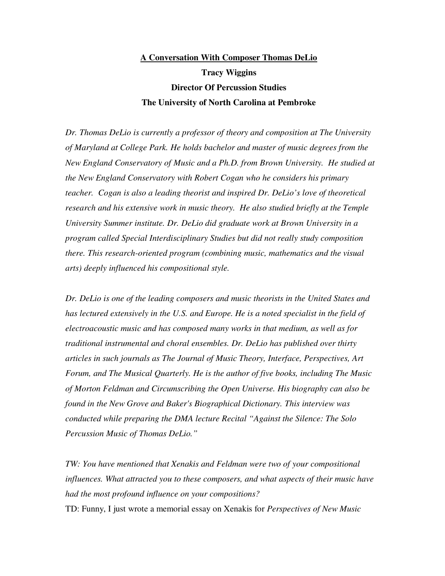# **A Conversation With Composer Thomas DeLio Tracy Wiggins Director Of Percussion Studies The University of North Carolina at Pembroke**

*Dr. Thomas DeLio is currently a professor of theory and composition at The University of Maryland at College Park. He holds bachelor and master of music degrees from the New England Conservatory of Music and a Ph.D. from Brown University. He studied at the New England Conservatory with Robert Cogan who he considers his primary teacher. Cogan is also a leading theorist and inspired Dr. DeLio's love of theoretical research and his extensive work in music theory. He also studied briefly at the Temple University Summer institute. Dr. DeLio did graduate work at Brown University in a program called Special Interdisciplinary Studies but did not really study composition there. This research-oriented program (combining music, mathematics and the visual arts) deeply influenced his compositional style.* 

*Dr. DeLio is one of the leading composers and music theorists in the United States and*  has lectured extensively in the U.S. and Europe. He is a noted specialist in the field of *electroacoustic music and has composed many works in that medium, as well as for traditional instrumental and choral ensembles. Dr. DeLio has published over thirty articles in such journals as The Journal of Music Theory, Interface, Perspectives, Art Forum, and The Musical Quarterly. He is the author of five books, including The Music of Morton Feldman and Circumscribing the Open Universe. His biography can also be found in the New Grove and Baker's Biographical Dictionary. This interview was conducted while preparing the DMA lecture Recital "Against the Silence: The Solo Percussion Music of Thomas DeLio."*

*TW: You have mentioned that Xenakis and Feldman were two of your compositional influences. What attracted you to these composers, and what aspects of their music have had the most profound influence on your compositions?*

TD: Funny, I just wrote a memorial essay on Xenakis for *Perspectives of New Music*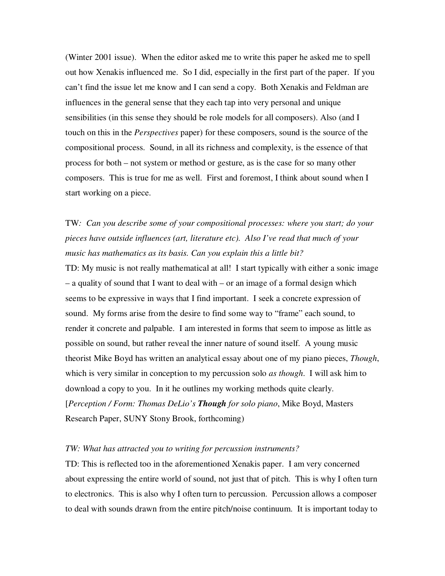(Winter 2001 issue). When the editor asked me to write this paper he asked me to spell out how Xenakis influenced me. So I did, especially in the first part of the paper. If you can't find the issue let me know and I can send a copy. Both Xenakis and Feldman are influences in the general sense that they each tap into very personal and unique sensibilities (in this sense they should be role models for all composers). Also (and I touch on this in the *Perspectives* paper) for these composers, sound is the source of the compositional process. Sound, in all its richness and complexity, is the essence of that process for both – not system or method or gesture, as is the case for so many other composers. This is true for me as well. First and foremost, I think about sound when I start working on a piece.

## TW*: Can you describe some of your compositional processes: where you start; do your pieces have outside influences (art, literature etc). Also I've read that much of your music has mathematics as its basis. Can you explain this a little bit?*

TD: My music is not really mathematical at all! I start typically with either a sonic image – a quality of sound that I want to deal with – or an image of a formal design which seems to be expressive in ways that I find important. I seek a concrete expression of sound. My forms arise from the desire to find some way to "frame" each sound, to render it concrete and palpable. I am interested in forms that seem to impose as little as possible on sound, but rather reveal the inner nature of sound itself. A young music theorist Mike Boyd has written an analytical essay about one of my piano pieces, *Though*, which is very similar in conception to my percussion solo *as though*. I will ask him to download a copy to you. In it he outlines my working methods quite clearly. [*Perception / Form: Thomas DeLio's Though for solo piano*, Mike Boyd, Masters Research Paper, SUNY Stony Brook, forthcoming)

#### *TW: What has attracted you to writing for percussion instruments?*

TD: This is reflected too in the aforementioned Xenakis paper. I am very concerned about expressing the entire world of sound, not just that of pitch. This is why I often turn to electronics. This is also why I often turn to percussion. Percussion allows a composer to deal with sounds drawn from the entire pitch/noise continuum. It is important today to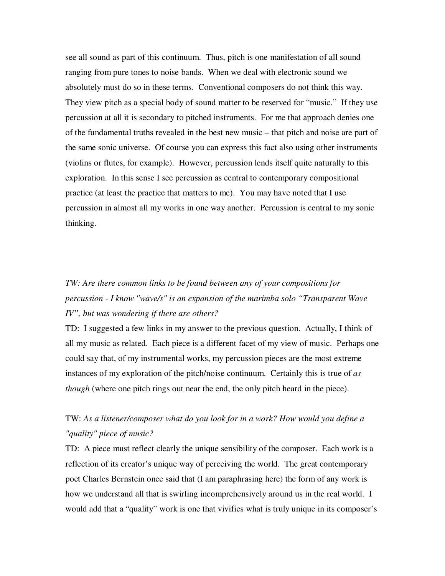see all sound as part of this continuum. Thus, pitch is one manifestation of all sound ranging from pure tones to noise bands. When we deal with electronic sound we absolutely must do so in these terms. Conventional composers do not think this way. They view pitch as a special body of sound matter to be reserved for "music." If they use percussion at all it is secondary to pitched instruments. For me that approach denies one of the fundamental truths revealed in the best new music – that pitch and noise are part of the same sonic universe. Of course you can express this fact also using other instruments (violins or flutes, for example). However, percussion lends itself quite naturally to this exploration. In this sense I see percussion as central to contemporary compositional practice (at least the practice that matters to me). You may have noted that I use percussion in almost all my works in one way another. Percussion is central to my sonic thinking.

# *TW: Are there common links to be found between any of your compositions for percussion - I know "wave/s" is an expansion of the marimba solo "Transparent Wave IV", but was wondering if there are others?*

TD: I suggested a few links in my answer to the previous question. Actually, I think of all my music as related. Each piece is a different facet of my view of music. Perhaps one could say that, of my instrumental works, my percussion pieces are the most extreme instances of my exploration of the pitch/noise continuum. Certainly this is true of *as though* (where one pitch rings out near the end, the only pitch heard in the piece).

### TW: *As a listener/composer what do you look for in a work? How would you define a "quality" piece of music?*

TD: A piece must reflect clearly the unique sensibility of the composer. Each work is a reflection of its creator's unique way of perceiving the world. The great contemporary poet Charles Bernstein once said that (I am paraphrasing here) the form of any work is how we understand all that is swirling incomprehensively around us in the real world. I would add that a "quality" work is one that vivifies what is truly unique in its composer's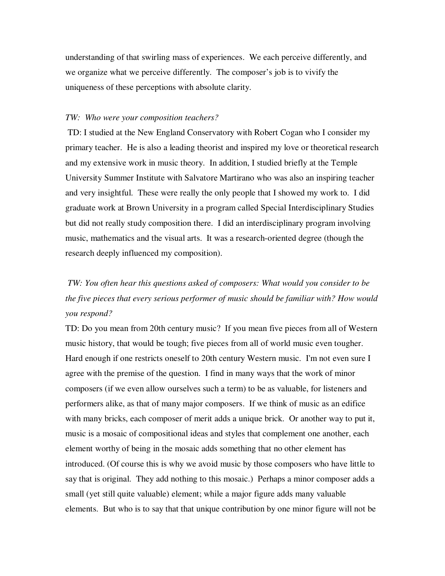understanding of that swirling mass of experiences. We each perceive differently, and we organize what we perceive differently. The composer's job is to vivify the uniqueness of these perceptions with absolute clarity.

#### *TW: Who were your composition teachers?*

 TD: I studied at the New England Conservatory with Robert Cogan who I consider my primary teacher. He is also a leading theorist and inspired my love or theoretical research and my extensive work in music theory. In addition, I studied briefly at the Temple University Summer Institute with Salvatore Martirano who was also an inspiring teacher and very insightful. These were really the only people that I showed my work to. I did graduate work at Brown University in a program called Special Interdisciplinary Studies but did not really study composition there. I did an interdisciplinary program involving music, mathematics and the visual arts. It was a research-oriented degree (though the research deeply influenced my composition).

# *TW: You often hear this questions asked of composers: What would you consider to be the five pieces that every serious performer of music should be familiar with? How would you respond?*

TD: Do you mean from 20th century music? If you mean five pieces from all of Western music history, that would be tough; five pieces from all of world music even tougher. Hard enough if one restricts oneself to 20th century Western music. I'm not even sure I agree with the premise of the question. I find in many ways that the work of minor composers (if we even allow ourselves such a term) to be as valuable, for listeners and performers alike, as that of many major composers. If we think of music as an edifice with many bricks, each composer of merit adds a unique brick. Or another way to put it, music is a mosaic of compositional ideas and styles that complement one another, each element worthy of being in the mosaic adds something that no other element has introduced. (Of course this is why we avoid music by those composers who have little to say that is original. They add nothing to this mosaic.) Perhaps a minor composer adds a small (yet still quite valuable) element; while a major figure adds many valuable elements. But who is to say that that unique contribution by one minor figure will not be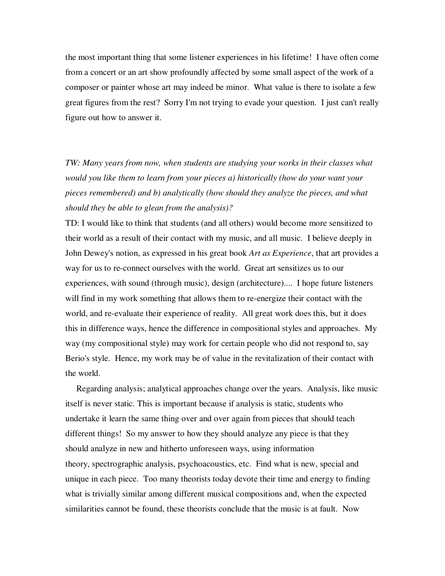the most important thing that some listener experiences in his lifetime! I have often come from a concert or an art show profoundly affected by some small aspect of the work of a composer or painter whose art may indeed be minor. What value is there to isolate a few great figures from the rest? Sorry I'm not trying to evade your question. I just can't really figure out how to answer it.

*TW: Many years from now, when students are studying your works in their classes what would you like them to learn from your pieces a) historically (how do your want your pieces remembered) and b) analytically (how should they analyze the pieces, and what should they be able to glean from the analysis)?* 

TD: I would like to think that students (and all others) would become more sensitized to their world as a result of their contact with my music, and all music. I believe deeply in John Dewey's notion, as expressed in his great book *Art as Experience*, that art provides a way for us to re-connect ourselves with the world. Great art sensitizes us to our experiences, with sound (through music), design (architecture).... I hope future listeners will find in my work something that allows them to re-energize their contact with the world, and re-evaluate their experience of reality. All great work does this, but it does this in difference ways, hence the difference in compositional styles and approaches. My way (my compositional style) may work for certain people who did not respond to, say Berio's style. Hence, my work may be of value in the revitalization of their contact with the world.

 Regarding analysis; analytical approaches change over the years. Analysis, like music itself is never static. This is important because if analysis is static, students who undertake it learn the same thing over and over again from pieces that should teach different things! So my answer to how they should analyze any piece is that they should analyze in new and hitherto unforeseen ways, using information theory, spectrographic analysis, psychoacoustics, etc. Find what is new, special and unique in each piece. Too many theorists today devote their time and energy to finding what is trivially similar among different musical compositions and, when the expected similarities cannot be found, these theorists conclude that the music is at fault. Now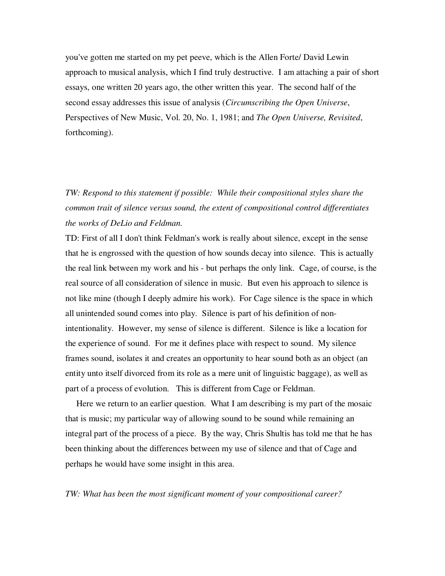you've gotten me started on my pet peeve, which is the Allen Forte/ David Lewin approach to musical analysis, which I find truly destructive. I am attaching a pair of short essays, one written 20 years ago, the other written this year. The second half of the second essay addresses this issue of analysis (*Circumscribing the Open Universe*, Perspectives of New Music, Vol. 20, No. 1, 1981; and *The Open Universe, Revisited*, forthcoming).

*TW: Respond to this statement if possible: While their compositional styles share the common trait of silence versus sound, the extent of compositional control differentiates the works of DeLio and Feldman.* 

TD: First of all I don't think Feldman's work is really about silence, except in the sense that he is engrossed with the question of how sounds decay into silence. This is actually the real link between my work and his - but perhaps the only link. Cage, of course, is the real source of all consideration of silence in music. But even his approach to silence is not like mine (though I deeply admire his work). For Cage silence is the space in which all unintended sound comes into play. Silence is part of his definition of nonintentionality. However, my sense of silence is different. Silence is like a location for the experience of sound. For me it defines place with respect to sound. My silence frames sound, isolates it and creates an opportunity to hear sound both as an object (an entity unto itself divorced from its role as a mere unit of linguistic baggage), as well as part of a process of evolution. This is different from Cage or Feldman.

 Here we return to an earlier question. What I am describing is my part of the mosaic that is music; my particular way of allowing sound to be sound while remaining an integral part of the process of a piece. By the way, Chris Shultis has told me that he has been thinking about the differences between my use of silence and that of Cage and perhaps he would have some insight in this area.

#### *TW: What has been the most significant moment of your compositional career?*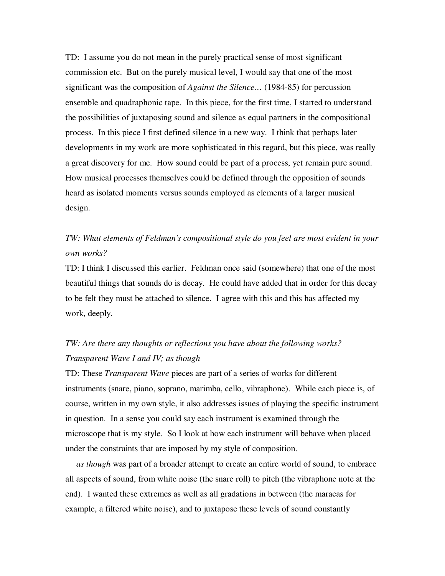TD: I assume you do not mean in the purely practical sense of most significant commission etc. But on the purely musical level, I would say that one of the most significant was the composition of *Against the Silence…* (1984-85) for percussion ensemble and quadraphonic tape. In this piece, for the first time, I started to understand the possibilities of juxtaposing sound and silence as equal partners in the compositional process. In this piece I first defined silence in a new way. I think that perhaps later developments in my work are more sophisticated in this regard, but this piece, was really a great discovery for me. How sound could be part of a process, yet remain pure sound. How musical processes themselves could be defined through the opposition of sounds heard as isolated moments versus sounds employed as elements of a larger musical design.

### *TW: What elements of Feldman's compositional style do you feel are most evident in your own works?*

TD: I think I discussed this earlier. Feldman once said (somewhere) that one of the most beautiful things that sounds do is decay. He could have added that in order for this decay to be felt they must be attached to silence. I agree with this and this has affected my work, deeply.

## *TW: Are there any thoughts or reflections you have about the following works? Transparent Wave I and IV; as though*

TD: These *Transparent Wave* pieces are part of a series of works for different instruments (snare, piano, soprano, marimba, cello, vibraphone). While each piece is, of course, written in my own style, it also addresses issues of playing the specific instrument in question. In a sense you could say each instrument is examined through the microscope that is my style. So I look at how each instrument will behave when placed under the constraints that are imposed by my style of composition.

 *as though* was part of a broader attempt to create an entire world of sound, to embrace all aspects of sound, from white noise (the snare roll) to pitch (the vibraphone note at the end). I wanted these extremes as well as all gradations in between (the maracas for example, a filtered white noise), and to juxtapose these levels of sound constantly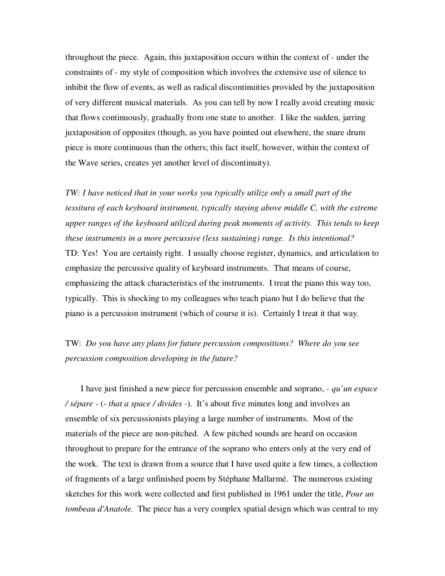throughout the piece. Again, this juxtaposition occurs within the context of - under the constraints of - my style of composition which involves the extensive use of silence to inhibit the flow of events, as well as radical discontinuities provided by the juxtaposition of very different musical materials. As you can tell by now I really avoid creating music that flows continuously, gradually from one state to another. I like the sudden, jarring juxtaposition of opposites (though, as you have pointed out elsewhere, the snare drum piece is more continuous than the others; this fact itself, however, within the context of the Wave series, creates yet another level of discontinuity).

*TW: I have noticed that in your works you typically utilize only a small part of the tessitura of each keyboard instrument, typically staying above middle C, with the extreme upper ranges of the keyboard utilized during peak moments of activity. This tends to keep these instruments in a more percussive (less sustaining) range. Is this intentional?*  TD: Yes! You are certainly right. I usually choose register, dynamics, and articulation to emphasize the percussive quality of keyboard instruments. That means of course, emphasizing the attack characteristics of the instruments. I treat the piano this way too, typically. This is shocking to my colleagues who teach piano but I do believe that the piano is a percussion instrument (which of course it is). Certainly I treat it that way.

TW: *Do you have any plans for future percussion compositions? Where do you see percussion composition developing in the future?*

 I have just finished a new piece for percussion ensemble and soprano, *- qu'un espace / sépare -* (- *that a space / divides -*). It's about five minutes long and involves an ensemble of six percussionists playing a large number of instruments. Most of the materials of the piece are non-pitched. A few pitched sounds are heard on occasion throughout to prepare for the entrance of the soprano who enters only at the very end of the work. The text is drawn from a source that I have used quite a few times, a collection of fragments of a large unfinished poem by Stéphane Mallarmé. The numerous existing sketches for this work were collected and first published in 1961 under the title, *Pour un tombeau d'Anatole.* The piece has a very complex spatial design which was central to my